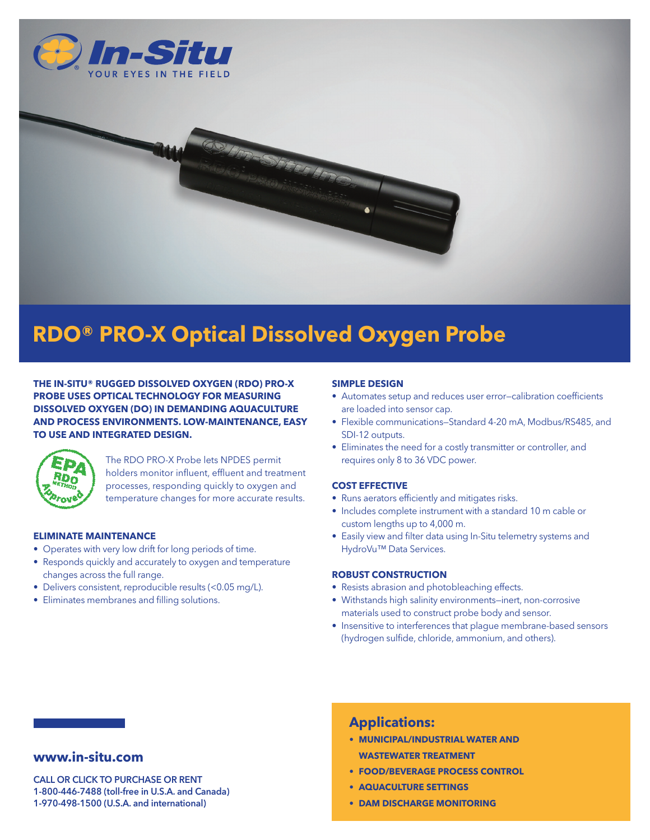

# **RDO® PRO-X Optical Dissolved Oxygen Probe**

**THE IN-SITU® RUGGED DISSOLVED OXYGEN (RDO) PRO-X PROBE USES OPTICAL TECHNOLOGY FOR MEASURING DISSOLVED OXYGEN (DO) IN DEMANDING AQUACULTURE AND PROCESS ENVIRONMENTS. LOW-MAINTENANCE, EASY TO USE AND INTEGRATED DESIGN.**



The RDO PRO-X Probe lets NPDES permit holders monitor influent, effluent and treatment processes, responding quickly to oxygen and temperature changes for more accurate results.

### **ELIMINATE MAINTENANCE**

- Operates with very low drift for long periods of time.
- Responds quickly and accurately to oxygen and temperature changes across the full range.
- Delivers consistent, reproducible results (<0.05 mg/L).
- Eliminates membranes and filling solutions.

### **SIMPLE DESIGN**

- Automates setup and reduces user error—calibration coefficients are loaded into sensor cap.
- Flexible communications—Standard 4-20 mA, Modbus/RS485, and SDI-12 outputs.
- Eliminates the need for a costly transmitter or controller, and requires only 8 to 36 VDC power.

### **COST EFFECTIVE**

- Runs aerators efficiently and mitigates risks.
- Includes complete instrument with a standard 10 m cable or custom lengths up to 4,000 m.
- Easily view and filter data using In-Situ telemetry systems and HydroVu™ Data Services.

### **ROBUST CONSTRUCTION**

- Resists abrasion and photobleaching effects.
- Withstands high salinity environments—inert, non-corrosive materials used to construct probe body and sensor.
- Insensitive to interferences that plague membrane-based sensors (hydrogen sulfide, chloride, ammonium, and others).

### **www.in-situ.com**

CALL OR CLICK TO PURCHASE OR RENT 1-800-446-7488 (toll-free in U.S.A. and Canada) 1-970-498-1500 (U.S.A. and international)

# **Applications:**

- **• MUNICIPAL/INDUSTRIAL WATER AND WASTEWATER TREATMENT**
- **• FOOD/BEVERAGE PROCESS CONTROL**
- **• AQUACULTURE SETTINGS**
- **• DAM DISCHARGE MONITORING**